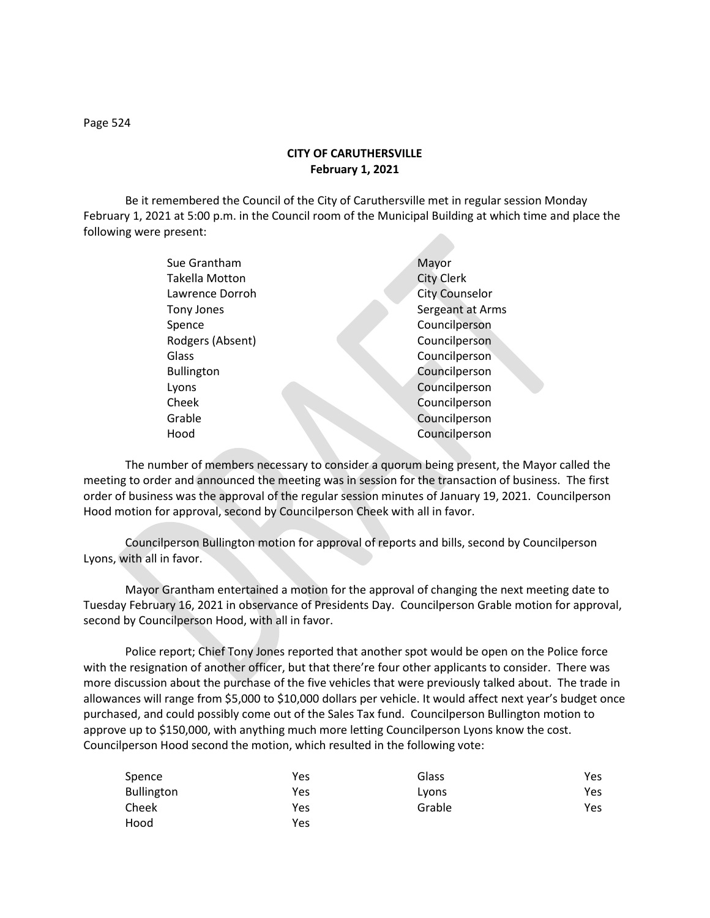**CITY OF CARUTHERSVILLE February 1, 2021**

Be it remembered the Council of the City of Caruthersville met in regular session Monday February 1, 2021 at 5:00 p.m. in the Council room of the Municipal Building at which time and place the following were present:

| Sue Grantham          | Mayor                 |
|-----------------------|-----------------------|
| <b>Takella Motton</b> | <b>City Clerk</b>     |
| Lawrence Dorroh       | <b>City Counselor</b> |
| Tony Jones            | Sergeant at Arms      |
| Spence                | Councilperson         |
| Rodgers (Absent)      | Councilperson         |
| Glass                 | Councilperson         |
| <b>Bullington</b>     | Councilperson         |
| Lyons                 | Councilperson         |
| Cheek                 | Councilperson         |
| Grable                | Councilperson         |
| Hood                  | Councilperson         |
|                       |                       |

The number of members necessary to consider a quorum being present, the Mayor called the meeting to order and announced the meeting was in session for the transaction of business. The first order of business was the approval of the regular session minutes of January 19, 2021. Councilperson Hood motion for approval, second by Councilperson Cheek with all in favor.

Councilperson Bullington motion for approval of reports and bills, second by Councilperson Lyons, with all in favor.

Mayor Grantham entertained a motion for the approval of changing the next meeting date to Tuesday February 16, 2021 in observance of Presidents Day. Councilperson Grable motion for approval, second by Councilperson Hood, with all in favor.

Police report; Chief Tony Jones reported that another spot would be open on the Police force with the resignation of another officer, but that there're four other applicants to consider. There was more discussion about the purchase of the five vehicles that were previously talked about. The trade in allowances will range from \$5,000 to \$10,000 dollars per vehicle. It would affect next year's budget once purchased, and could possibly come out of the Sales Tax fund. Councilperson Bullington motion to approve up to \$150,000, with anything much more letting Councilperson Lyons know the cost. Councilperson Hood second the motion, which resulted in the following vote:

| Spence            | Yes | Glass  | Yes. |
|-------------------|-----|--------|------|
| <b>Bullington</b> | Yes | Lyons  | Yes. |
| Cheek             | Yes | Grable | Yes  |
| Hood              | Yes |        |      |

Page 524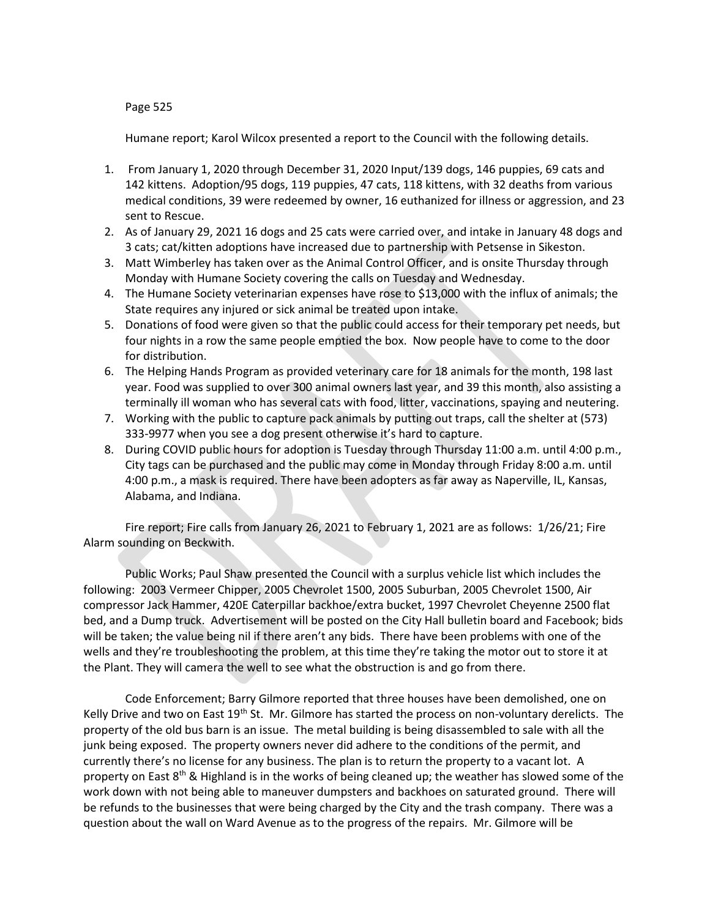## Page 525

Humane report; Karol Wilcox presented a report to the Council with the following details.

- 1. From January 1, 2020 through December 31, 2020 Input/139 dogs, 146 puppies, 69 cats and 142 kittens. Adoption/95 dogs, 119 puppies, 47 cats, 118 kittens, with 32 deaths from various medical conditions, 39 were redeemed by owner, 16 euthanized for illness or aggression, and 23 sent to Rescue.
- 2. As of January 29, 2021 16 dogs and 25 cats were carried over, and intake in January 48 dogs and 3 cats; cat/kitten adoptions have increased due to partnership with Petsense in Sikeston.
- 3. Matt Wimberley has taken over as the Animal Control Officer, and is onsite Thursday through Monday with Humane Society covering the calls on Tuesday and Wednesday.
- 4. The Humane Society veterinarian expenses have rose to \$13,000 with the influx of animals; the State requires any injured or sick animal be treated upon intake.
- 5. Donations of food were given so that the public could access for their temporary pet needs, but four nights in a row the same people emptied the box. Now people have to come to the door for distribution.
- 6. The Helping Hands Program as provided veterinary care for 18 animals for the month, 198 last year. Food was supplied to over 300 animal owners last year, and 39 this month, also assisting a terminally ill woman who has several cats with food, litter, vaccinations, spaying and neutering.
- 7. Working with the public to capture pack animals by putting out traps, call the shelter at (573) 333-9977 when you see a dog present otherwise it's hard to capture.
- 8. During COVID public hours for adoption is Tuesday through Thursday 11:00 a.m. until 4:00 p.m., City tags can be purchased and the public may come in Monday through Friday 8:00 a.m. until 4:00 p.m., a mask is required. There have been adopters as far away as Naperville, IL, Kansas, Alabama, and Indiana.

Fire report; Fire calls from January 26, 2021 to February 1, 2021 are as follows: 1/26/21; Fire Alarm sounding on Beckwith.

Public Works; Paul Shaw presented the Council with a surplus vehicle list which includes the following: 2003 Vermeer Chipper, 2005 Chevrolet 1500, 2005 Suburban, 2005 Chevrolet 1500, Air compressor Jack Hammer, 420E Caterpillar backhoe/extra bucket, 1997 Chevrolet Cheyenne 2500 flat bed, and a Dump truck. Advertisement will be posted on the City Hall bulletin board and Facebook; bids will be taken; the value being nil if there aren't any bids. There have been problems with one of the wells and they're troubleshooting the problem, at this time they're taking the motor out to store it at the Plant. They will camera the well to see what the obstruction is and go from there.

Code Enforcement; Barry Gilmore reported that three houses have been demolished, one on Kelly Drive and two on East 19<sup>th</sup> St. Mr. Gilmore has started the process on non-voluntary derelicts. The property of the old bus barn is an issue. The metal building is being disassembled to sale with all the junk being exposed. The property owners never did adhere to the conditions of the permit, and currently there's no license for any business. The plan is to return the property to a vacant lot. A property on East 8<sup>th</sup> & Highland is in the works of being cleaned up; the weather has slowed some of the work down with not being able to maneuver dumpsters and backhoes on saturated ground. There will be refunds to the businesses that were being charged by the City and the trash company. There was a question about the wall on Ward Avenue as to the progress of the repairs. Mr. Gilmore will be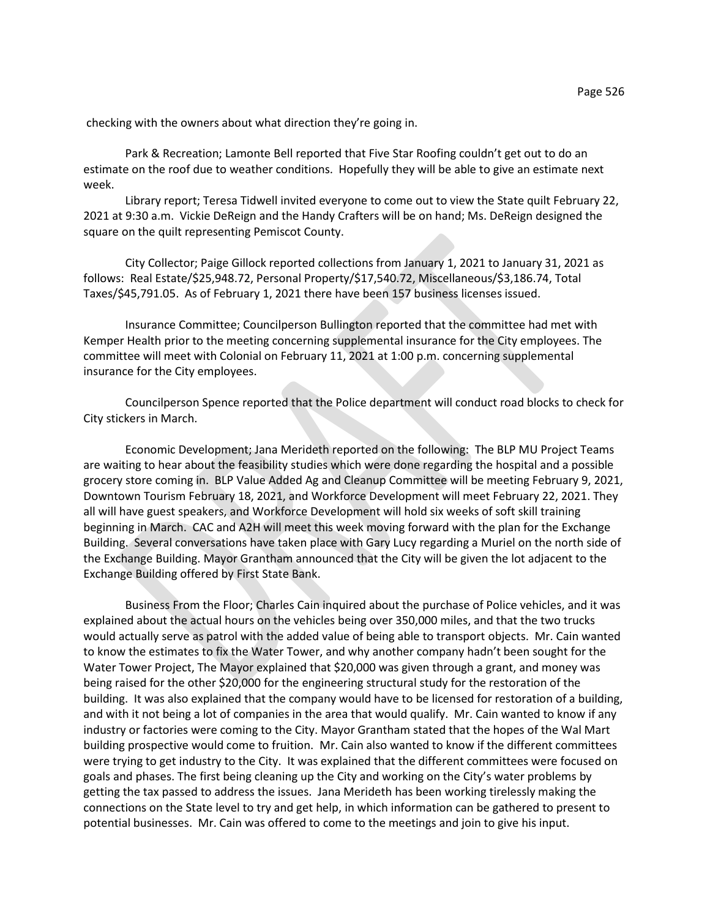checking with the owners about what direction they're going in.

Park & Recreation; Lamonte Bell reported that Five Star Roofing couldn't get out to do an estimate on the roof due to weather conditions. Hopefully they will be able to give an estimate next week.

Library report; Teresa Tidwell invited everyone to come out to view the State quilt February 22, 2021 at 9:30 a.m. Vickie DeReign and the Handy Crafters will be on hand; Ms. DeReign designed the square on the quilt representing Pemiscot County.

City Collector; Paige Gillock reported collections from January 1, 2021 to January 31, 2021 as follows: Real Estate/\$25,948.72, Personal Property/\$17,540.72, Miscellaneous/\$3,186.74, Total Taxes/\$45,791.05. As of February 1, 2021 there have been 157 business licenses issued.

Insurance Committee; Councilperson Bullington reported that the committee had met with Kemper Health prior to the meeting concerning supplemental insurance for the City employees. The committee will meet with Colonial on February 11, 2021 at 1:00 p.m. concerning supplemental insurance for the City employees.

Councilperson Spence reported that the Police department will conduct road blocks to check for City stickers in March.

Economic Development; Jana Merideth reported on the following: The BLP MU Project Teams are waiting to hear about the feasibility studies which were done regarding the hospital and a possible grocery store coming in. BLP Value Added Ag and Cleanup Committee will be meeting February 9, 2021, Downtown Tourism February 18, 2021, and Workforce Development will meet February 22, 2021. They all will have guest speakers, and Workforce Development will hold six weeks of soft skill training beginning in March. CAC and A2H will meet this week moving forward with the plan for the Exchange Building. Several conversations have taken place with Gary Lucy regarding a Muriel on the north side of the Exchange Building. Mayor Grantham announced that the City will be given the lot adjacent to the Exchange Building offered by First State Bank.

Business From the Floor; Charles Cain inquired about the purchase of Police vehicles, and it was explained about the actual hours on the vehicles being over 350,000 miles, and that the two trucks would actually serve as patrol with the added value of being able to transport objects. Mr. Cain wanted to know the estimates to fix the Water Tower, and why another company hadn't been sought for the Water Tower Project, The Mayor explained that \$20,000 was given through a grant, and money was being raised for the other \$20,000 for the engineering structural study for the restoration of the building. It was also explained that the company would have to be licensed for restoration of a building, and with it not being a lot of companies in the area that would qualify. Mr. Cain wanted to know if any industry or factories were coming to the City. Mayor Grantham stated that the hopes of the Wal Mart building prospective would come to fruition. Mr. Cain also wanted to know if the different committees were trying to get industry to the City. It was explained that the different committees were focused on goals and phases. The first being cleaning up the City and working on the City's water problems by getting the tax passed to address the issues. Jana Merideth has been working tirelessly making the connections on the State level to try and get help, in which information can be gathered to present to potential businesses. Mr. Cain was offered to come to the meetings and join to give his input.